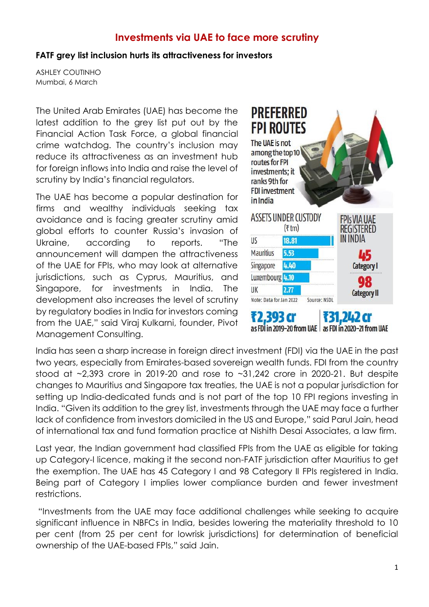## **Investments via UAE to face more scrutiny**

## **FATF grey list inclusion hurts its attractiveness for investors**

ASHLEY COUTINHO Mumbai, 6 March

The United Arab Emirates (UAE) has become the latest addition to the grey list put out by the Financial Action Task Force, a global financial crime watchdog. The country's inclusion may reduce its attractiveness as an investment hub for foreign inflows into India and raise the level of scrutiny by India's financial regulators.

The UAE has become a popular destination for firms and wealthy individuals seeking tax avoidance and is facing greater scrutiny amid global efforts to counter Russia's invasion of Ukraine, according to reports. "The announcement will dampen the attractiveness of the UAE for FPIs, who may look at alternative jurisdictions, such as Cyprus, Mauritius, and Singapore, for investments in India. The development also increases the level of scrutiny by regulatory bodies in India for investors coming from the UAE," said Viraj Kulkarni, founder, Pivot Management Consulting.



India has seen a sharp increase in foreign direct investment (FDI) via the UAE in the past two years, especially from Emirates-based sovereign wealth funds. FDI from the country stood at  $\sim$ 2,393 crore in 2019-20 and rose to  $\sim$ 31,242 crore in 2020-21. But despite changes to Mauritius and Singapore tax treaties, the UAE is not a popular jurisdiction for setting up India-dedicated funds and is not part of the top 10 FPI regions investing in India. "Given its addition to the grey list, investments through the UAE may face a further lack of confidence from investors domiciled in the US and Europe," said Parul Jain, head of international tax and fund formation practice at Nishith Desai Associates, a law firm.

Last year, the Indian government had classified FPIs from the UAE as eligible for taking up Category-I licence, making it the second non-FATF jurisdiction after Mauritius to get the exemption. The UAE has 45 Category I and 98 Category II FPIs registered in India. Being part of Category I implies lower compliance burden and fewer investment restrictions.

"Investments from the UAE may face additional challenges while seeking to acquire significant influence in NBFCs in India, besides lowering the materiality threshold to 10 per cent (from 25 per cent for lowrisk jurisdictions) for determination of beneficial ownership of the UAE-based FPIs," said Jain.